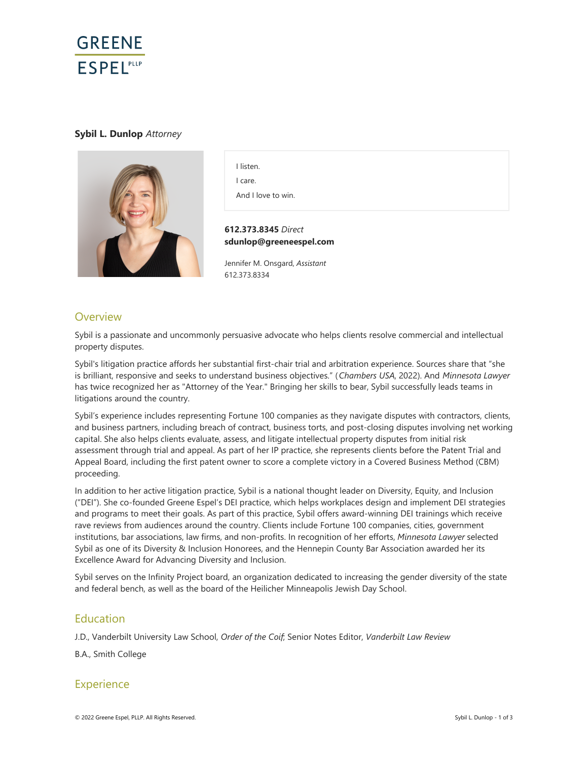

### **Sybil L. Dunlop** *Attorney*



I listen. I care.

And I love to win.

**612.373.8345** *Direct* **sdunlop@greeneespel.com**

Jennifer M. Onsgard, *Assistant* 612.373.8334

# **Overview**

Sybil is a passionate and uncommonly persuasive advocate who helps clients resolve commercial and intellectual property disputes.

Sybil's litigation practice affords her substantial first-chair trial and arbitration experience. Sources share that "she is brilliant, responsive and seeks to understand business objectives." (*Chambers USA*, 2022). And *Minnesota Lawyer*  has twice recognized her as "Attorney of the Year." Bringing her skills to bear, Sybil successfully leads teams in litigations around the country.

Sybil's experience includes representing Fortune 100 companies as they navigate disputes with contractors, clients, and business partners, including breach of contract, business torts, and post-closing disputes involving net working capital. She also helps clients evaluate, assess, and litigate intellectual property disputes from initial risk assessment through trial and appeal. As part of her IP practice, she represents clients before the Patent Trial and Appeal Board, including the first patent owner to score a complete victory in a Covered Business Method (CBM) proceeding.

In addition to her active litigation practice, Sybil is a national thought leader on Diversity, Equity, and Inclusion ("DEI"). She co-founded Greene Espel's DEI practice, which helps workplaces design and implement DEI strategies and programs to meet their goals. As part of this practice, Sybil offers award-winning DEI trainings which receive rave reviews from audiences around the country. Clients include Fortune 100 companies, cities, government institutions, bar associations, law firms, and non-profits. In recognition of her efforts, *Minnesota Lawyer* selected Sybil as one of its Diversity & Inclusion Honorees, and the Hennepin County Bar Association awarded her its Excellence Award for Advancing Diversity and Inclusion.

Sybil serves on the Infinity Project board, an organization dedicated to increasing the gender diversity of the state and federal bench, as well as the board of the Heilicher Minneapolis Jewish Day School.

## Education

J.D., Vanderbilt University Law School, *Order of the Coif*; Senior Notes Editor, *Vanderbilt Law Review*

B.A., Smith College

## **Experience**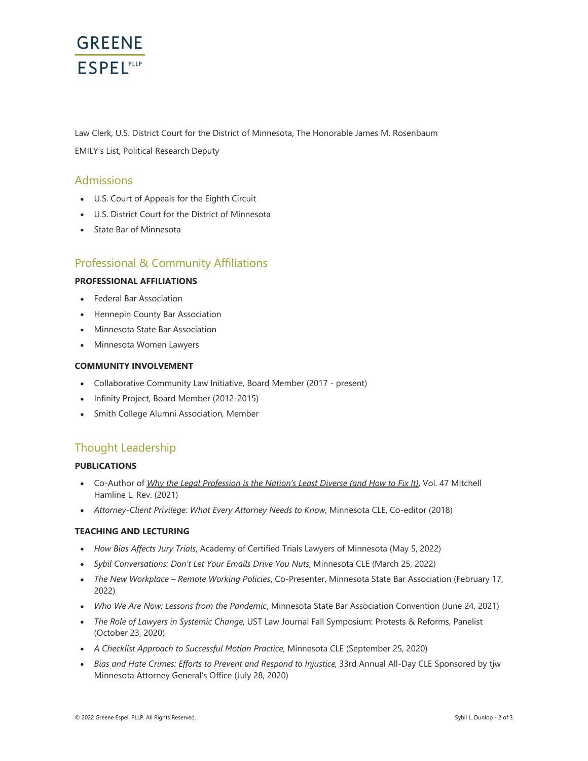

Law Clerk, U.S. District Court for the District of Minnesota, The Honorable James M. Rosenbaum EMILY's List, Political Research Deputy

### Admissions

- U.S. Court of Appeals for the Eighth Circuit
- U.S. District Court for the District of Minnesota
- State Bar of Minnesota

## Professional & Community Affiliations

#### **PROFESSIONAL AFFILIATIONS**

- Federal Bar Association
- Hennepin County Bar Association
- Minnesota State Bar Association
- Minnesota Women Lawyers

#### **COMMUNITY INVOLVEMENT**

- Collaborative Community Law Initiative, Board Member (2017 present)
- Infinity Project, Board Member (2012-2015)
- Smith College Alumni Association, Member  $\bullet$

# Thought Leadership

#### **PUBLICATIONS**

- Co-Author of *[Why the Legal Profession is the Nation's Least Diverse \(and How to Fix It\)](https://mhlawreview.org/law_review_article/why-the-legal-profession-is-the-nations-least-diverse-and-how-to-fix-it/)*, Vol. 47 Mitchell Hamline L. Rev. (2021)
- *Attorney-Client Privilege: What Every Attorney Needs to Know,* Minnesota CLE, Co-editor (2018)

### **TEACHING AND LECTURING**

- *How Bias Affects Jury Trials*, Academy of Certified Trials Lawyers of Minnesota (May 5, 2022)
- *Sybil Conversations: Don't Let Your Emails Drive You Nuts*, Minnesota CLE (March 25, 2022)
- *The New Workplace Remote Working Policies*, Co-Presenter, Minnesota State Bar Association (February 17, 2022)
- *Who We Are Now: Lessons from the Pandemic*, Minnesota State Bar Association Convention (June 24, 2021)
- *The Role of Lawyers in Systemic Change*, UST Law Journal Fall Symposium: Protests & Reforms, Panelist (October 23, 2020)
- *A Checklist Approach to Successful Motion Practice*, Minnesota CLE (September 25, 2020)
- *Bias and Hate Crimes: Efforts to Prevent and Respond to Injustice*, 33rd Annual All-Day CLE Sponsored by tjw Minnesota Attorney General's Office (July 28, 2020)